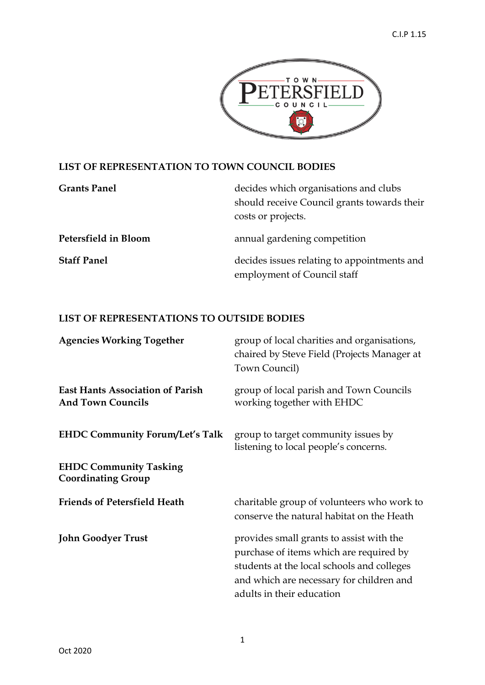

## **LIST OF REPRESENTATION TO TOWN COUNCIL BODIES**

| <b>Grants Panel</b>  | decides which organisations and clubs<br>should receive Council grants towards their<br>costs or projects. |
|----------------------|------------------------------------------------------------------------------------------------------------|
| Petersfield in Bloom | annual gardening competition                                                                               |
| <b>Staff Panel</b>   | decides issues relating to appointments and<br>employment of Council staff                                 |

## **LIST OF REPRESENTATIONS TO OUTSIDE BODIES**

| <b>Agencies Working Together</b>                                    | group of local charities and organisations,<br>chaired by Steve Field (Projects Manager at<br>Town Council)                                                                                                |
|---------------------------------------------------------------------|------------------------------------------------------------------------------------------------------------------------------------------------------------------------------------------------------------|
| <b>East Hants Association of Parish</b><br><b>And Town Councils</b> | group of local parish and Town Councils<br>working together with EHDC                                                                                                                                      |
| <b>EHDC Community Forum/Let's Talk</b>                              | group to target community issues by<br>listening to local people's concerns.                                                                                                                               |
| <b>EHDC Community Tasking</b><br><b>Coordinating Group</b>          |                                                                                                                                                                                                            |
| <b>Friends of Petersfield Heath</b>                                 | charitable group of volunteers who work to<br>conserve the natural habitat on the Heath                                                                                                                    |
| <b>John Goodyer Trust</b>                                           | provides small grants to assist with the<br>purchase of items which are required by<br>students at the local schools and colleges<br>and which are necessary for children and<br>adults in their education |